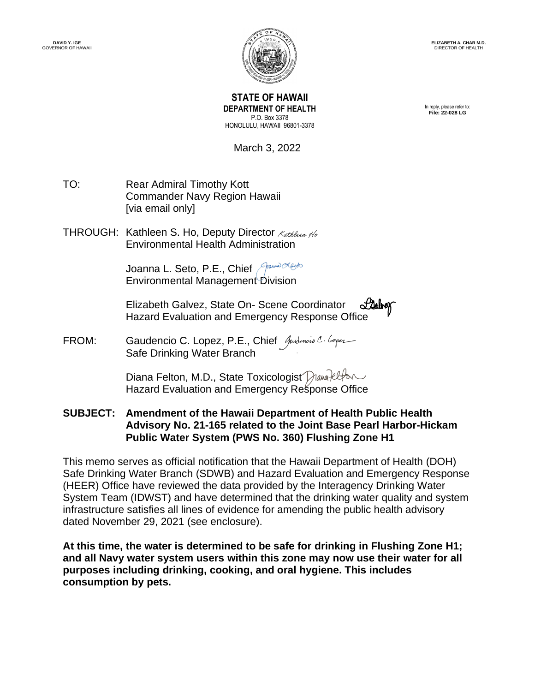

**STATE OF HAWAII DEPARTMENT OF HEALTH** P.O. Box 3378 HONOLULU, HAWAII 96801-3378

In reply, please refer to: **File: 22-028 LG**

March 3, 2022

- TO: Rear Admiral Timothy Kott Commander Navy Region Hawaii [via email only]
- THROUGH: Kathleen S. Ho, Deputy Director Kathleen No Environmental Health Administr[ation](https://stateofhawaii.na1.adobesign.com/verifier?tx=CBJCHBCAABAApEhqaSNdhhMz9UK2cytgEYSi_DASJdwT)

Joanna L. Seto, P.E., Chief Annel Environmental Managemen[t Division](https://stateofhawaii.na1.adobesign.com/verifier?tx=CBJCHBCAABAApEhqaSNdhhMz9UK2cytgEYSi_DASJdwT)

Elizabeth Galvez, State On- Scene Coordinator Stallwork Hazard Evaluation and Emergency Response [Office](https://stateofhawaii.na1.adobesign.com/verifier?tx=CBJCHBCAABAApEhqaSNdhhMz9UK2cytgEYSi_DASJdwT)

FROM: Gaudencio C. Lopez, P.E., Chief Andencio C. Coper Safe Drinking Water Branch

> Diana Felton, M.D., State Toxicologist Diana Pelton Hazard Evaluation and Emergency R[esponse Office](https://stateofhawaii.na1.adobesign.com/verifier?tx=CBJCHBCAABAApEhqaSNdhhMz9UK2cytgEYSi_DASJdwT)

**SUBJECT: Amendment of the Hawaii Department of Health Public Health Advisory No. 21-165 related to the Joint Base Pearl Harbor-Hickam Public Water System (PWS No. 360) Flushing Zone H1**

This memo serves as official notification that the Hawaii Department of Health (DOH) Safe Drinking Water Branch (SDWB) and Hazard Evaluation and Emergency Response (HEER) Office have reviewed the data provided by the Interagency Drinking Water System Team (IDWST) and have determined that the drinking water quality and system infrastructure satisfies all lines of evidence for amending the public health advisory dated November 29, 2021 (see enclosure).

**At this time, the water is determined to be safe for drinking in Flushing Zone H1; and all Navy water system users within this zone may now use their water for all purposes including drinking, cooking, and oral hygiene. This includes consumption by pets.**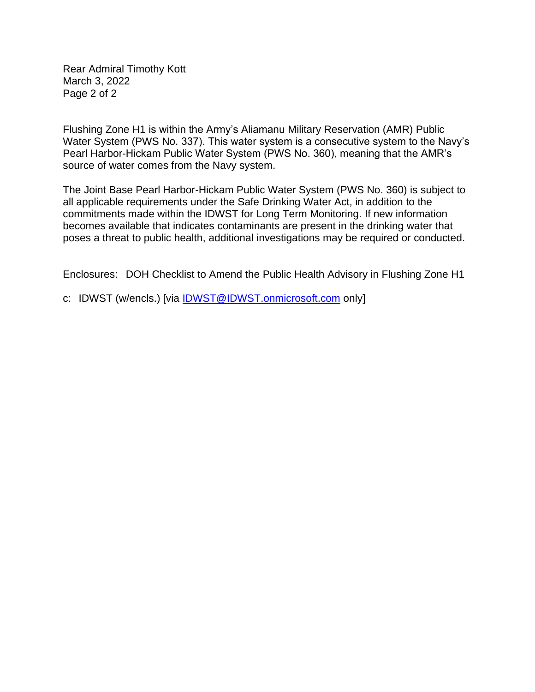Rear Admiral Timothy Kott March 3, 2022 Page 2 of 2

Flushing Zone H1 is within the Army's Aliamanu Military Reservation (AMR) Public Water System (PWS No. 337). This water system is a consecutive system to the Navy's Pearl Harbor-Hickam Public Water System (PWS No. 360), meaning that the AMR's source of water comes from the Navy system.

The Joint Base Pearl Harbor-Hickam Public Water System (PWS No. 360) is subject to all applicable requirements under the Safe Drinking Water Act, in addition to the commitments made within the IDWST for Long Term Monitoring. If new information becomes available that indicates contaminants are present in the drinking water that poses a threat to public health, additional investigations may be required or conducted.

Enclosures: DOH Checklist to Amend the Public Health Advisory in Flushing Zone H1

c: IDWST (w/encls.) [via [IDWST@IDWST.onmicrosoft.com](mailto:IDWST@IDWST.onmicrosoft.com) only]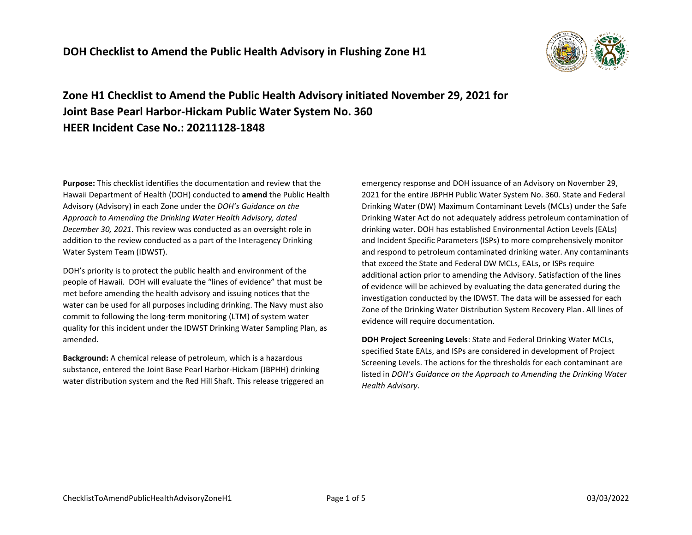

**Zone H1 Checklist to Amend the Public Health Advisory initiated November 29, 2021 for Joint Base Pearl Harbor-Hickam Public Water System No. 360 HEER Incident Case No.: 20211128-1848**

**Purpose:** This checklist identifies the documentation and review that the Hawaii Department of Health (DOH) conducted to **amend** the Public Health Advisory (Advisory) in each Zone under the *DOH's Guidance on the Approach to Amending the Drinking Water Health Advisory, dated December 30, 2021*. This review was conducted as an oversight role in addition to the review conducted as a part of the Interagency Drinking Water System Team (IDWST).

DOH's priority is to protect the public health and environment of the people of Hawaii. DOH will evaluate the "lines of evidence" that must be met before amending the health advisory and issuing notices that the water can be used for all purposes including drinking. The Navy must also commit to following the long-term monitoring (LTM) of system water quality for this incident under the IDWST Drinking Water Sampling Plan, as amended.

**Background:** A chemical release of petroleum, which is a hazardous substance, entered the Joint Base Pearl Harbor-Hickam (JBPHH) drinking water distribution system and the Red Hill Shaft. This release triggered an

emergency response and DOH issuance of an Advisory on November 29, 2021 for the entire JBPHH Public Water System No. 360. State and Federal Drinking Water (DW) Maximum Contaminant Levels (MCLs) under the Safe Drinking Water Act do not adequately address petroleum contamination of drinking water. DOH has established Environmental Action Levels (EALs) and Incident Specific Parameters (ISPs) to more comprehensively monitor and respond to petroleum contaminated drinking water. Any contaminants that exceed the State and Federal DW MCLs, EALs, or ISPs require additional action prior to amending the Advisory. Satisfaction of the lines of evidence will be achieved by evaluating the data generated during the investigation conducted by the IDWST. The data will be assessed for each Zone of the Drinking Water Distribution System Recovery Plan. All lines of evidence will require documentation.

**DOH Project Screening Levels**: State and Federal Drinking Water MCLs, specified State EALs, and ISPs are considered in development of Project Screening Levels. The actions for the thresholds for each contaminant are listed in *DOH's Guidance on the Approach to Amending the Drinking Water Health Advisory*.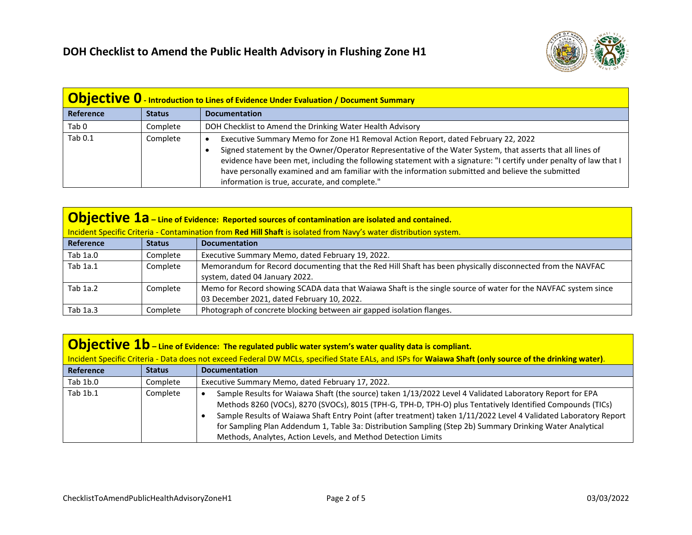

| <b>Objective 0</b> - Introduction to Lines of Evidence Under Evaluation / Document Summary |               |                                                                                                                                                                                                                                                                                                                                                                                                                                                                            |
|--------------------------------------------------------------------------------------------|---------------|----------------------------------------------------------------------------------------------------------------------------------------------------------------------------------------------------------------------------------------------------------------------------------------------------------------------------------------------------------------------------------------------------------------------------------------------------------------------------|
| Reference                                                                                  | <b>Status</b> | <b>Documentation</b>                                                                                                                                                                                                                                                                                                                                                                                                                                                       |
| Tab <sub>0</sub>                                                                           | Complete      | DOH Checklist to Amend the Drinking Water Health Advisory                                                                                                                                                                                                                                                                                                                                                                                                                  |
| Tab 0.1                                                                                    | Complete      | Executive Summary Memo for Zone H1 Removal Action Report, dated February 22, 2022<br>Signed statement by the Owner/Operator Representative of the Water System, that asserts that all lines of<br>evidence have been met, including the following statement with a signature: "I certify under penalty of law that I<br>have personally examined and am familiar with the information submitted and believe the submitted<br>information is true, accurate, and complete." |

| <b>Objective 1a</b> – Line of Evidence: Reported sources of contamination are isolated and contained.             |               |                                                                                                                                                              |
|-------------------------------------------------------------------------------------------------------------------|---------------|--------------------------------------------------------------------------------------------------------------------------------------------------------------|
| Incident Specific Criteria - Contamination from Red Hill Shaft is isolated from Navy's water distribution system. |               |                                                                                                                                                              |
| Reference                                                                                                         | <b>Status</b> | <b>Documentation</b>                                                                                                                                         |
| Tab 1a.0                                                                                                          | Complete      | Executive Summary Memo, dated February 19, 2022.                                                                                                             |
| Tab 1a.1                                                                                                          | Complete      | Memorandum for Record documenting that the Red Hill Shaft has been physically disconnected from the NAVFAC<br>system, dated 04 January 2022.                 |
| Tab 1a.2                                                                                                          | Complete      | Memo for Record showing SCADA data that Waiawa Shaft is the single source of water for the NAVFAC system since<br>03 December 2021, dated February 10, 2022. |
| Tab 1a.3                                                                                                          | Complete      | Photograph of concrete blocking between air gapped isolation flanges.                                                                                        |

| <b>Objective 1b</b> – Line of Evidence: The regulated public water system's water quality data is compliant.                                            |               |                                                                                                                                                                                                                                                                                                                                                                                                                                                                                                                          |
|---------------------------------------------------------------------------------------------------------------------------------------------------------|---------------|--------------------------------------------------------------------------------------------------------------------------------------------------------------------------------------------------------------------------------------------------------------------------------------------------------------------------------------------------------------------------------------------------------------------------------------------------------------------------------------------------------------------------|
| Incident Specific Criteria - Data does not exceed Federal DW MCLs, specified State EALs, and ISPs for Waiawa Shaft (only source of the drinking water). |               |                                                                                                                                                                                                                                                                                                                                                                                                                                                                                                                          |
| <b>Reference</b>                                                                                                                                        | <b>Status</b> | <b>Documentation</b>                                                                                                                                                                                                                                                                                                                                                                                                                                                                                                     |
| Tab 1b.0                                                                                                                                                | Complete      | Executive Summary Memo, dated February 17, 2022.                                                                                                                                                                                                                                                                                                                                                                                                                                                                         |
| Tab 1b.1                                                                                                                                                | Complete      | Sample Results for Waiawa Shaft (the source) taken 1/13/2022 Level 4 Validated Laboratory Report for EPA<br>Methods 8260 (VOCs), 8270 (SVOCs), 8015 (TPH-G, TPH-D, TPH-O) plus Tentatively Identified Compounds (TICs)<br>Sample Results of Waiawa Shaft Entry Point (after treatment) taken 1/11/2022 Level 4 Validated Laboratory Report<br>for Sampling Plan Addendum 1, Table 3a: Distribution Sampling (Step 2b) Summary Drinking Water Analytical<br>Methods, Analytes, Action Levels, and Method Detection Limits |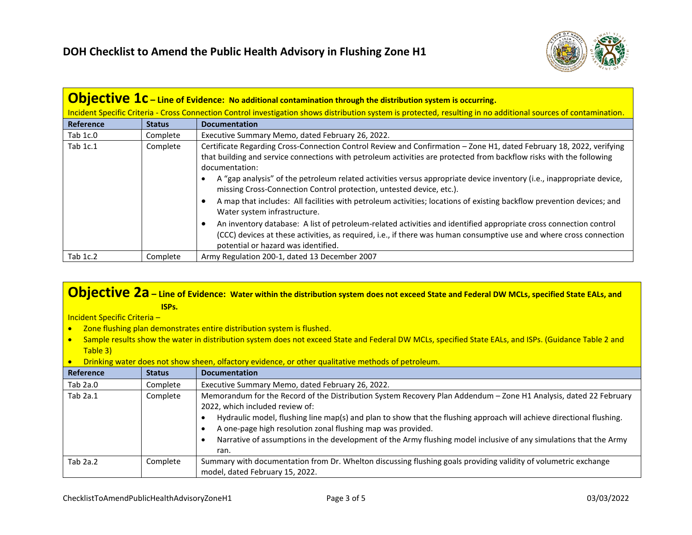

| <b>Objective <math>1c</math></b> – Line of Evidence: No additional contamination through the distribution system is occurring. |                                                                                                                                                                  |                                                                                                                                                                                                                                                                                                                                                                                                                                                                                                                                                                                                                                                                                                                                                                                                                                                                                                             |  |
|--------------------------------------------------------------------------------------------------------------------------------|------------------------------------------------------------------------------------------------------------------------------------------------------------------|-------------------------------------------------------------------------------------------------------------------------------------------------------------------------------------------------------------------------------------------------------------------------------------------------------------------------------------------------------------------------------------------------------------------------------------------------------------------------------------------------------------------------------------------------------------------------------------------------------------------------------------------------------------------------------------------------------------------------------------------------------------------------------------------------------------------------------------------------------------------------------------------------------------|--|
|                                                                                                                                | Incident Specific Criteria - Cross Connection Control investigation shows distribution system is protected, resulting in no additional sources of contamination. |                                                                                                                                                                                                                                                                                                                                                                                                                                                                                                                                                                                                                                                                                                                                                                                                                                                                                                             |  |
| Reference                                                                                                                      | <b>Status</b>                                                                                                                                                    | <b>Documentation</b>                                                                                                                                                                                                                                                                                                                                                                                                                                                                                                                                                                                                                                                                                                                                                                                                                                                                                        |  |
| Tab 1c.0                                                                                                                       | Complete                                                                                                                                                         | Executive Summary Memo, dated February 26, 2022.                                                                                                                                                                                                                                                                                                                                                                                                                                                                                                                                                                                                                                                                                                                                                                                                                                                            |  |
| Tab 1c.1                                                                                                                       | Complete                                                                                                                                                         | Certificate Regarding Cross-Connection Control Review and Confirmation - Zone H1, dated February 18, 2022, verifying<br>that building and service connections with petroleum activities are protected from backflow risks with the following<br>documentation:<br>A "gap analysis" of the petroleum related activities versus appropriate device inventory (i.e., inappropriate device,<br>missing Cross-Connection Control protection, untested device, etc.).<br>A map that includes: All facilities with petroleum activities; locations of existing backflow prevention devices; and<br>Water system infrastructure.<br>An inventory database: A list of petroleum-related activities and identified appropriate cross connection control<br>(CCC) devices at these activities, as required, i.e., if there was human consumptive use and where cross connection<br>potential or hazard was identified. |  |
| Tab 1c.2                                                                                                                       | Complete                                                                                                                                                         | Army Regulation 200-1, dated 13 December 2007                                                                                                                                                                                                                                                                                                                                                                                                                                                                                                                                                                                                                                                                                                                                                                                                                                                               |  |

## **Objective 2a – Line of Evidence: Water within the distribution system does not exceed State and Federal DW MCLs, specified State EALs, and ISPs.**

Incident Specific Criteria –

- Zone flushing plan demonstrates entire distribution system is flushed.
- Sample results show the water in distribution system does not exceed State and Federal DW MCLs, specified State EALs, and ISPs. (Guidance Table 2 and Table 3)
- Drinking water does not show sheen, olfactory evidence, or other qualitative methods of petroleum.

| Reference  | <b>Status</b> | <b>Documentation</b>                                                                                                                                                                                                                                                                                                                                                                                                                                                     |
|------------|---------------|--------------------------------------------------------------------------------------------------------------------------------------------------------------------------------------------------------------------------------------------------------------------------------------------------------------------------------------------------------------------------------------------------------------------------------------------------------------------------|
| Tab $2a.0$ | Complete      | Executive Summary Memo, dated February 26, 2022.                                                                                                                                                                                                                                                                                                                                                                                                                         |
| Tab $2a.1$ | Complete      | Memorandum for the Record of the Distribution System Recovery Plan Addendum - Zone H1 Analysis, dated 22 February<br>2022, which included review of:<br>Hydraulic model, flushing line map(s) and plan to show that the flushing approach will achieve directional flushing.<br>A one-page high resolution zonal flushing map was provided.<br>Narrative of assumptions in the development of the Army flushing model inclusive of any simulations that the Army<br>ran. |
| Tab $2a.2$ | Complete      | Summary with documentation from Dr. Whelton discussing flushing goals providing validity of volumetric exchange<br>model, dated February 15, 2022.                                                                                                                                                                                                                                                                                                                       |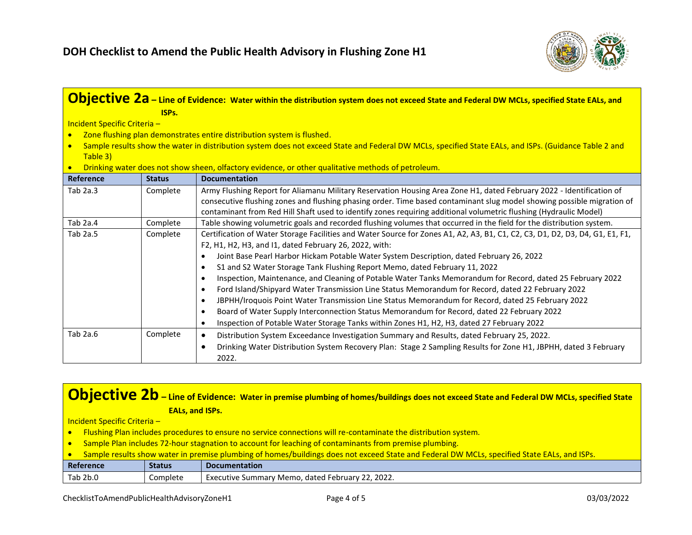

| <b>Objective 2a</b> – Line of Evidence: Water within the distribution system does not exceed State and Federal DW MCLs, specified State EALs, and                 |               |                                                                                                                                                                                                                                                                                                                                                                                                                                                                                                                                                                                                                                                                                                                                                                                                                                                                                          |
|-------------------------------------------------------------------------------------------------------------------------------------------------------------------|---------------|------------------------------------------------------------------------------------------------------------------------------------------------------------------------------------------------------------------------------------------------------------------------------------------------------------------------------------------------------------------------------------------------------------------------------------------------------------------------------------------------------------------------------------------------------------------------------------------------------------------------------------------------------------------------------------------------------------------------------------------------------------------------------------------------------------------------------------------------------------------------------------------|
| ISPs.                                                                                                                                                             |               |                                                                                                                                                                                                                                                                                                                                                                                                                                                                                                                                                                                                                                                                                                                                                                                                                                                                                          |
| Incident Specific Criteria -                                                                                                                                      |               |                                                                                                                                                                                                                                                                                                                                                                                                                                                                                                                                                                                                                                                                                                                                                                                                                                                                                          |
| $\bullet$                                                                                                                                                         |               | Zone flushing plan demonstrates entire distribution system is flushed.                                                                                                                                                                                                                                                                                                                                                                                                                                                                                                                                                                                                                                                                                                                                                                                                                   |
| Sample results show the water in distribution system does not exceed State and Federal DW MCLs, specified State EALs, and ISPs. (Guidance Table 2 and<br>Table 3) |               |                                                                                                                                                                                                                                                                                                                                                                                                                                                                                                                                                                                                                                                                                                                                                                                                                                                                                          |
|                                                                                                                                                                   |               | Drinking water does not show sheen, olfactory evidence, or other qualitative methods of petroleum.                                                                                                                                                                                                                                                                                                                                                                                                                                                                                                                                                                                                                                                                                                                                                                                       |
| <b>Reference</b>                                                                                                                                                  | <b>Status</b> | <b>Documentation</b>                                                                                                                                                                                                                                                                                                                                                                                                                                                                                                                                                                                                                                                                                                                                                                                                                                                                     |
| Tab $2a.3$                                                                                                                                                        | Complete      | Army Flushing Report for Aliamanu Military Reservation Housing Area Zone H1, dated February 2022 - Identification of<br>consecutive flushing zones and flushing phasing order. Time based contaminant slug model showing possible migration of<br>contaminant from Red Hill Shaft used to identify zones requiring additional volumetric flushing (Hydraulic Model)                                                                                                                                                                                                                                                                                                                                                                                                                                                                                                                      |
| Tab 2a.4                                                                                                                                                          | Complete      | Table showing volumetric goals and recorded flushing volumes that occurred in the field for the distribution system.                                                                                                                                                                                                                                                                                                                                                                                                                                                                                                                                                                                                                                                                                                                                                                     |
| Tab 2a.5                                                                                                                                                          | Complete      | Certification of Water Storage Facilities and Water Source for Zones A1, A2, A3, B1, C1, C2, C3, D1, D2, D3, D4, G1, E1, F1,<br>F2, H1, H2, H3, and I1, dated February 26, 2022, with:<br>Joint Base Pearl Harbor Hickam Potable Water System Description, dated February 26, 2022<br>S1 and S2 Water Storage Tank Flushing Report Memo, dated February 11, 2022<br>Inspection, Maintenance, and Cleaning of Potable Water Tanks Memorandum for Record, dated 25 February 2022<br>Ford Island/Shipyard Water Transmission Line Status Memorandum for Record, dated 22 February 2022<br>JBPHH/Iroquois Point Water Transmission Line Status Memorandum for Record, dated 25 February 2022<br>Board of Water Supply Interconnection Status Memorandum for Record, dated 22 February 2022<br>Inspection of Potable Water Storage Tanks within Zones H1, H2, H3, dated 27 February 2022<br>٠ |
| Tab 2a.6                                                                                                                                                          | Complete      | Distribution System Exceedance Investigation Summary and Results, dated February 25, 2022.<br>$\bullet$<br>Drinking Water Distribution System Recovery Plan: Stage 2 Sampling Results for Zone H1, JBPHH, dated 3 February<br>$\bullet$<br>2022.                                                                                                                                                                                                                                                                                                                                                                                                                                                                                                                                                                                                                                         |

## **Objective 2b** – Line of Evidence: Water in premise plumbing of homes/buildings does not exceed State and Federal DW MCLs, specified State **EALs, and ISPs.**

Incident Specific Criteria –

- Flushing Plan includes procedures to ensure no service connections will re-contaminate the distribution system.
- Sample Plan includes 72-hour stagnation to account for leaching of contaminants from premise plumbing.

| Reference | <b>Status</b> | <b>Documentation</b>                                                     |
|-----------|---------------|--------------------------------------------------------------------------|
| Tab 2b.0  | Complete      | . 2022.<br>$\sim$<br>. Februarv<br>dated<br>' Memo.<br>Executive Summary |
|           |               |                                                                          |